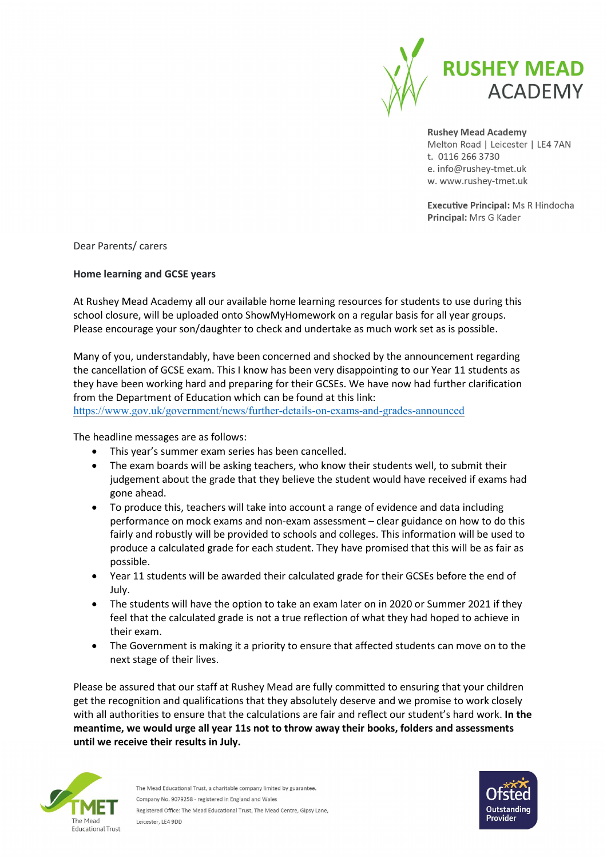

**Rushey Mead Academy** Melton Road | Leicester | LE4 7AN t. 0116 266 3730 e. info@rushey-tmet.uk w. www.rushey-tmet.uk

**Executive Principal: Ms R Hindocha** Principal: Mrs G Kader

Dear Parents/ carers

## Home learning and GCSE years

At Rushey Mead Academy all our available home learning resources for students to use during this school closure, will be uploaded onto ShowMyHomework on a regular basis for all year groups. Please encourage your son/daughter to check and undertake as much work set as is possible.

Many of you, understandably, have been concerned and shocked by the announcement regarding the cancellation of GCSE exam. This I know has been very disappointing to our Year 11 students as they have been working hard and preparing for their GCSEs. We have now had further clarification from the Department of Education which can be found at this link: https://www.gov.uk/government/news/further-details-on-exams-and-grades-announced

The headline messages are as follows:

- This year's summer exam series has been cancelled.
- The exam boards will be asking teachers, who know their students well, to submit their judgement about the grade that they believe the student would have received if exams had gone ahead.
- To produce this, teachers will take into account a range of evidence and data including performance on mock exams and non-exam assessment – clear guidance on how to do this fairly and robustly will be provided to schools and colleges. This information will be used to produce a calculated grade for each student. They have promised that this will be as fair as possible.
- Year 11 students will be awarded their calculated grade for their GCSEs before the end of July.
- The students will have the option to take an exam later on in 2020 or Summer 2021 if they feel that the calculated grade is not a true reflection of what they had hoped to achieve in their exam.
- The Government is making it a priority to ensure that affected students can move on to the next stage of their lives.

Please be assured that our staff at Rushey Mead are fully committed to ensuring that your children get the recognition and qualifications that they absolutely deserve and we promise to work closely with all authorities to ensure that the calculations are fair and reflect our student's hard work. In the meantime, we would urge all year 11s not to throw away their books, folders and assessments until we receive their results in July.



The Mead Educational Trust, a charitable company limited by guarantee. Company No. 9079258 - registered in England and Wales Registered Office: The Mead Educational Trust, The Mead Centre, Gipsy Lane, Leicester, LE4 9DD